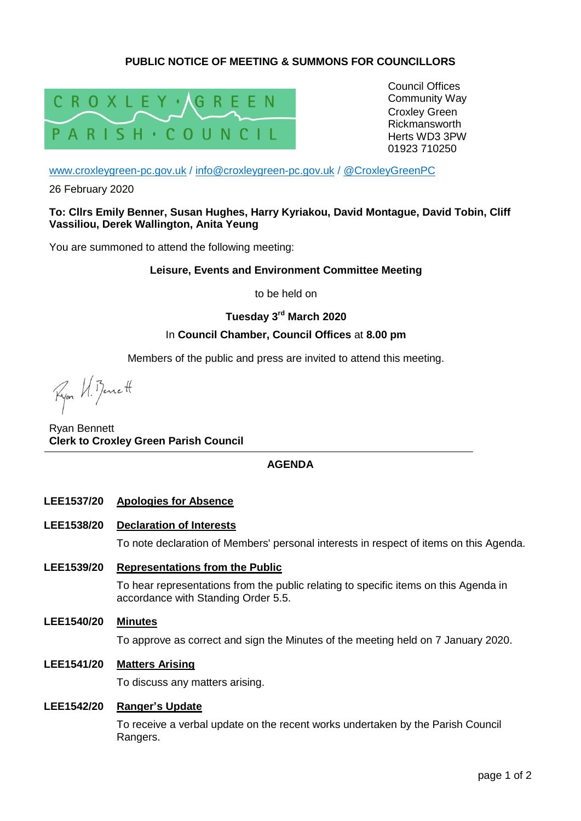# **PUBLIC NOTICE OF MEETING & SUMMONS FOR COUNCILLORS**



Council Offices Community Way Croxley Green Rickmansworth Herts WD3 3PW 01923 710250

[www.croxleygreen-pc.gov.uk](http://www.croxleygreen-pc.gov.uk/) / [info@croxleygreen-pc.gov.uk](mailto:info@croxleygreen-pc.gov.uk) / [@CroxleyGreenPC](https://twitter.com/CroxleyGreenPC)

26 February 2020

### **To: Cllrs Emily Benner, Susan Hughes, Harry Kyriakou, David Montague, David Tobin, Cliff Vassiliou, Derek Wallington, Anita Yeung**

You are summoned to attend the following meeting:

#### **Leisure, Events and Environment Committee Meeting**

to be held on

**Tuesday 3 rd March 2020**

### In **Council Chamber, Council Offices** at **8.00 pm**

Members of the public and press are invited to attend this meeting.

Ryon VI. Bennett

Ryan Bennett **Clerk to Croxley Green Parish Council**

### **AGENDA**

- **LEE1537/20 Apologies for Absence**
- **LEE1538/20 Declaration of Interests**

To note declaration of Members' personal interests in respect of items on this Agenda.

- **LEE1539/20 Representations from the Public** To hear representations from the public relating to specific items on this Agenda in accordance with Standing Order 5.5.
- **LEE1540/20 Minutes**

To approve as correct and sign the Minutes of the meeting held on 7 January 2020.

**LEE1541/20 Matters Arising**

To discuss any matters arising.

### **LEE1542/20 Ranger's Update**

To receive a verbal update on the recent works undertaken by the Parish Council Rangers.